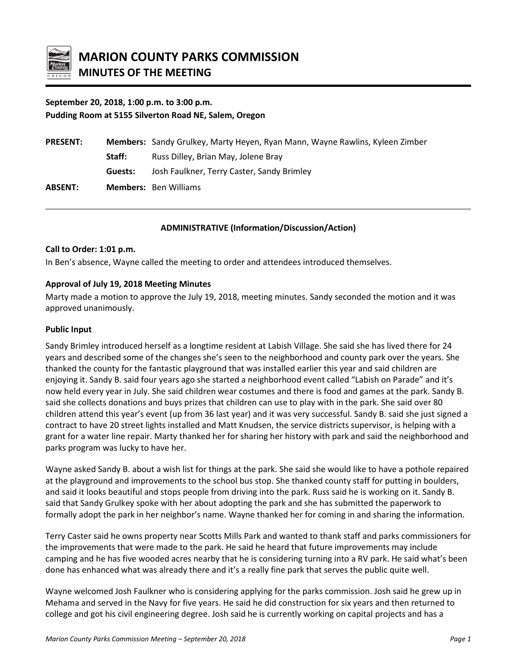

# **September 20, 2018, 1:00 p.m. to 3:00 p.m. Pudding Room at 5155 Silverton Road NE, Salem, Oregon**

| <b>PRESENT:</b> |         | Members: Sandy Grulkey, Marty Heyen, Ryan Mann, Wayne Rawlins, Kyleen Zimber |
|-----------------|---------|------------------------------------------------------------------------------|
|                 | Staff:  | Russ Dilley, Brian May, Jolene Bray                                          |
|                 | Guests: | Josh Faulkner, Terry Caster, Sandy Brimley                                   |
| <b>ABSENT:</b>  |         | <b>Members: Ben Williams</b>                                                 |

### **ADMINISTRATIVE (Information/Discussion/Action)**

#### **Call to Order: 1:01 p.m.**

In Ben's absence, Wayne called the meeting to order and attendees introduced themselves.

### **Approval of July 19, 2018 Meeting Minutes**

Marty made a motion to approve the July 19, 2018, meeting minutes. Sandy seconded the motion and it was approved unanimously.

#### **Public Input**

Sandy Brimley introduced herself as a longtime resident at Labish Village. She said she has lived there for 24 years and described some of the changes she's seen to the neighborhood and county park over the years. She thanked the county for the fantastic playground that was installed earlier this year and said children are enjoying it. Sandy B. said four years ago she started a neighborhood event called "Labish on Parade" and it's now held every year in July. She said children wear costumes and there is food and games at the park. Sandy B. said she collects donations and buys prizes that children can use to play with in the park. She said over 80 children attend this year's event (up from 36 last year) and it was very successful. Sandy B. said she just signed a contract to have 20 street lights installed and Matt Knudsen, the service districts supervisor, is helping with a grant for a water line repair. Marty thanked her for sharing her history with park and said the neighborhood and parks program was lucky to have her.

Wayne asked Sandy B. about a wish list for things at the park. She said she would like to have a pothole repaired at the playground and improvements to the school bus stop. She thanked county staff for putting in boulders, and said it looks beautiful and stops people from driving into the park. Russ said he is working on it. Sandy B. said that Sandy Grulkey spoke with her about adopting the park and she has submitted the paperwork to formally adopt the park in her neighbor's name. Wayne thanked her for coming in and sharing the information.

Terry Caster said he owns property near Scotts Mills Park and wanted to thank staff and parks commissioners for the improvements that were made to the park. He said he heard that future improvements may include camping and he has five wooded acres nearby that he is considering turning into a RV park. He said what's been done has enhanced what was already there and it's a really fine park that serves the public quite well.

Wayne welcomed Josh Faulkner who is considering applying for the parks commission. Josh said he grew up in Mehama and served in the Navy for five years. He said he did construction for six years and then returned to college and got his civil engineering degree. Josh said he is currently working on capital projects and has a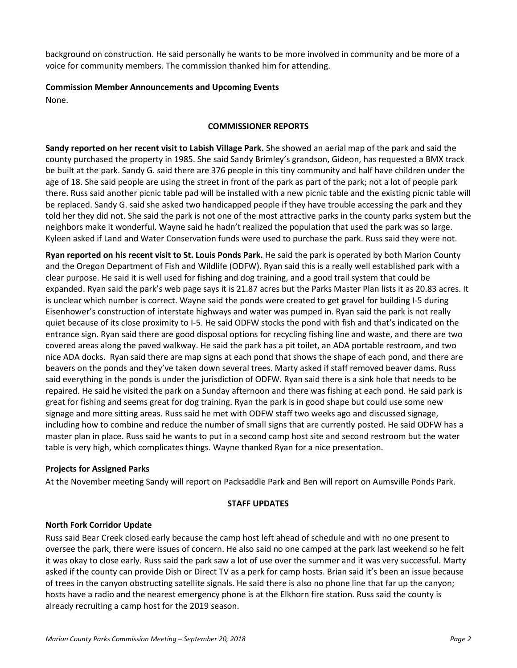background on construction. He said personally he wants to be more involved in community and be more of a voice for community members. The commission thanked him for attending.

## **Commission Member Announcements and Upcoming Events**

None.

## **COMMISSIONER REPORTS**

**Sandy reported on her recent visit to Labish Village Park.** She showed an aerial map of the park and said the county purchased the property in 1985. She said Sandy Brimley's grandson, Gideon, has requested a BMX track be built at the park. Sandy G. said there are 376 people in this tiny community and half have children under the age of 18. She said people are using the street in front of the park as part of the park; not a lot of people park there. Russ said another picnic table pad will be installed with a new picnic table and the existing picnic table will be replaced. Sandy G. said she asked two handicapped people if they have trouble accessing the park and they told her they did not. She said the park is not one of the most attractive parks in the county parks system but the neighbors make it wonderful. Wayne said he hadn't realized the population that used the park was so large. Kyleen asked if Land and Water Conservation funds were used to purchase the park. Russ said they were not.

**Ryan reported on his recent visit to St. Louis Ponds Park.** He said the park is operated by both Marion County and the Oregon Department of Fish and Wildlife (ODFW). Ryan said this is a really well established park with a clear purpose. He said it is well used for fishing and dog training, and a good trail system that could be expanded. Ryan said the park's web page says it is 21.87 acres but the Parks Master Plan lists it as 20.83 acres. It is unclear which number is correct. Wayne said the ponds were created to get gravel for building I-5 during Eisenhower's construction of interstate highways and water was pumped in. Ryan said the park is not really quiet because of its close proximity to I-5. He said ODFW stocks the pond with fish and that's indicated on the entrance sign. Ryan said there are good disposal options for recycling fishing line and waste, and there are two covered areas along the paved walkway. He said the park has a pit toilet, an ADA portable restroom, and two nice ADA docks. Ryan said there are map signs at each pond that shows the shape of each pond, and there are beavers on the ponds and they've taken down several trees. Marty asked if staff removed beaver dams. Russ said everything in the ponds is under the jurisdiction of ODFW. Ryan said there is a sink hole that needs to be repaired. He said he visited the park on a Sunday afternoon and there was fishing at each pond. He said park is great for fishing and seems great for dog training. Ryan the park is in good shape but could use some new signage and more sitting areas. Russ said he met with ODFW staff two weeks ago and discussed signage, including how to combine and reduce the number of small signs that are currently posted. He said ODFW has a master plan in place. Russ said he wants to put in a second camp host site and second restroom but the water table is very high, which complicates things. Wayne thanked Ryan for a nice presentation.

## **Projects for Assigned Parks**

At the November meeting Sandy will report on Packsaddle Park and Ben will report on Aumsville Ponds Park.

## **STAFF UPDATES**

## **North Fork Corridor Update**

Russ said Bear Creek closed early because the camp host left ahead of schedule and with no one present to oversee the park, there were issues of concern. He also said no one camped at the park last weekend so he felt it was okay to close early. Russ said the park saw a lot of use over the summer and it was very successful. Marty asked if the county can provide Dish or Direct TV as a perk for camp hosts. Brian said it's been an issue because of trees in the canyon obstructing satellite signals. He said there is also no phone line that far up the canyon; hosts have a radio and the nearest emergency phone is at the Elkhorn fire station. Russ said the county is already recruiting a camp host for the 2019 season.